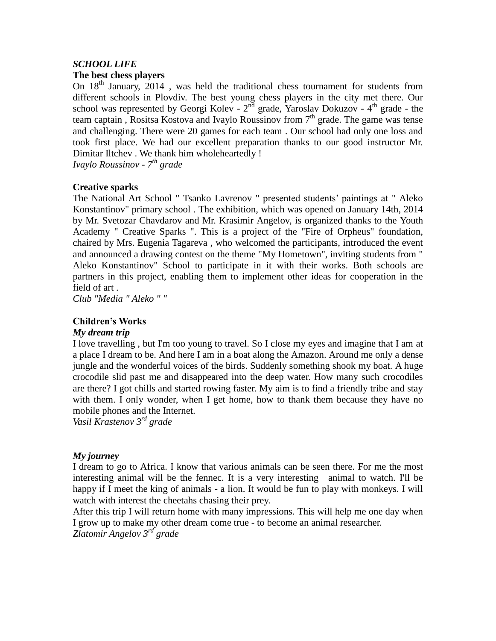# *SCHOOL LIFE*

## **The best chess players**

On  $18<sup>th</sup>$  January, 2014, was held the traditional chess tournament for students from different schools in Plovdiv. The best young chess players in the city met there. Our school was represented by Georgi Kolev -  $2<sup>nd</sup>$  grade, Yaroslav Dokuzov -  $4<sup>th</sup>$  grade - the team captain, Rositsa Kostova and Ivaylo Roussinov from  $7<sup>th</sup>$  grade. The game was tense and challenging. There were 20 games for each team . Our school had only one loss and took first place. We had our excellent preparation thanks to our good instructor Mr. Dimitar Iltchev . We thank him wholeheartedly !

*Ivaylo Roussinov - 7 th grade*

## **Creative sparks**

The National Art School " Tsanko Lavrenov " presented students' paintings at " Aleko Konstantinov" primary school . The exhibition, which was opened on January 14th, 2014 by Mr. Svetozar Chavdarov and Mr. Krasimir Angelov, is organized thanks to the Youth Academy " Creative Sparks ". This is a project of the "Fire of Orpheus" foundation, chaired by Mrs. Eugenia Tagareva , who welcomed the participants, introduced the event and announced a drawing contest on the theme "My Hometown", inviting students from " Aleko Konstantinov" School to participate in it with their works. Both schools are partners in this project, enabling them to implement other ideas for cooperation in the field of art .

*Club "Media " Aleko " "*

## **Children's Works**

## *My dream trip*

I love travelling , but I'm too young to travel. So I close my eyes and imagine that I am at a place I dream to be. And here I am in a boat along the Amazon. Around me only a dense jungle and the wonderful voices of the birds. Suddenly something shook my boat. A huge crocodile slid past me and disappeared into the deep water. How many such crocodiles are there? I got chills and started rowing faster. My aim is to find a friendly tribe and stay with them. I only wonder, when I get home, how to thank them because they have no mobile phones and the Internet.

*Vasil Krastenov 3 rd grade*

## *My journey*

I dream to go to Africa. I know that various animals can be seen there. For me the most interesting animal will be the fennec. It is a very interesting animal to watch. I'll be happy if I meet the king of animals - a lion. It would be fun to play with monkeys. I will watch with interest the cheetahs chasing their prey.

After this trip I will return home with many impressions. This will help me one day when I grow up to make my other dream come true - to become an animal researcher. *Zlatomir Angelov 3 rd grade*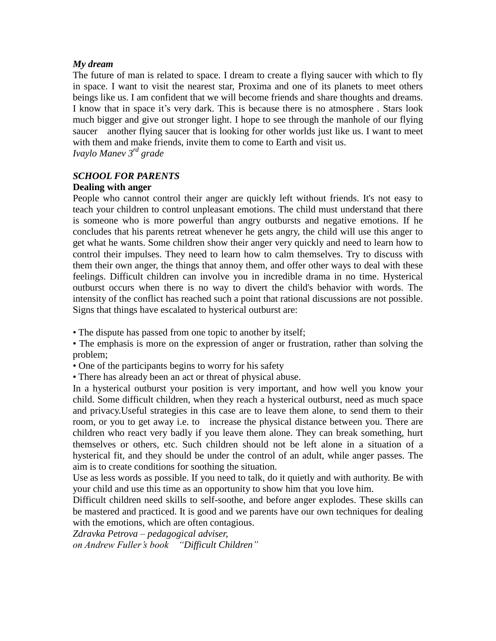## *My dream*

The future of man is related to space. I dream to create a flying saucer with which to fly in space. I want to visit the nearest star, Proxima and one of its planets to meet others beings like us. I am confident that we will become friends and share thoughts and dreams. I know that in space it's very dark. This is because there is no atmosphere . Stars look much bigger and give out stronger light. I hope to see through the manhole of our flying saucer another flying saucer that is looking for other worlds just like us. I want to meet with them and make friends, invite them to come to Earth and visit us. *Ivaylo Manev 3 rd grade*

*SCHOOL FOR PARENTS*

## **Dealing with anger**

People who cannot control their anger are quickly left without friends. It's not easy to teach your children to control unpleasant emotions. The child must understand that there is someone who is more powerful than angry outbursts and negative emotions. If he concludes that his parents retreat whenever he gets angry, the child will use this anger to get what he wants. Some children show their anger very quickly and need to learn how to control their impulses. They need to learn how to calm themselves. Try to discuss with them their own anger, the things that annoy them, and offer other ways to deal with these feelings. Difficult children can involve you in incredible drama in no time. Hysterical outburst occurs when there is no way to divert the child's behavior with words. The intensity of the conflict has reached such a point that rational discussions are not possible. Signs that things have escalated to hysterical outburst are:

• The dispute has passed from one topic to another by itself:

• The emphasis is more on the expression of anger or frustration, rather than solving the problem;

• One of the participants begins to worry for his safety

• There has already been an act or threat of physical abuse.

In a hysterical outburst your position is very important, and how well you know your child. Some difficult children, when they reach a hysterical outburst, need as much space and privacy.Useful strategies in this case are to leave them alone, to send them to their room, or you to get away i.e. to increase the physical distance between you. There are children who react very badly if you leave them alone. They can break something, hurt themselves or others, etc. Such children should not be left alone in a situation of a hysterical fit, and they should be under the control of an adult, while anger passes. The aim is to create conditions for soothing the situation.

Use as less words as possible. If you need to talk, do it quietly and with authority. Be with your child and use this time as an opportunity to show him that you love him.

Difficult children need skills to self-soothe, and before anger explodes. These skills can be mastered and practiced. It is good and we parents have our own techniques for dealing with the emotions, which are often contagious.

*Zdravka Petrova – pedagogical adviser, on Andrew Fuller's book "Difficult Children"*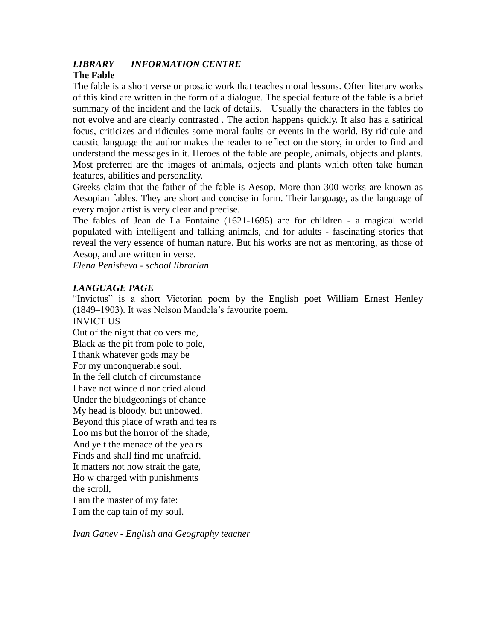# *LIBRARY – INFORMATION CENTRE*

## **The Fable**

The fable is a short verse or prosaic work that teaches moral lessons. Often literary works of this kind are written in the form of a dialogue. The special feature of the fable is a brief summary of the incident and the lack of details. Usually the characters in the fables do not evolve and are clearly contrasted . The action happens quickly. It also has a satirical focus, criticizes and ridicules some moral faults or events in the world. By ridicule and caustic language the author makes the reader to reflect on the story, in order to find and understand the messages in it. Heroes of the fable are people, animals, objects and plants. Most preferred are the images of animals, objects and plants which often take human features, abilities and personality.

Greeks claim that the father of the fable is Aesop. More than 300 works are known as Aesopian fables. They are short and concise in form. Their language, as the language of every major artist is very clear and precise.

The fables of Jean de La Fontaine (1621-1695) are for children - a magical world populated with intelligent and talking animals, and for adults - fascinating stories that reveal the very essence of human nature. But his works are not as mentoring, as those of Aesop, and are written in verse.

*Elena Penisheva - school librarian*

## *LANGUAGE PAGE*

"Invictus" is a short Victorian poem by the English poet William Ernest Henley (1849–1903). It was Nelson Mandela's favourite poem.

INVICT US Out of the night that co vers me, Black as the pit from pole to pole, I thank whatever gods may be For my unconquerable soul. In the fell clutch of circumstance I have not wince d nor cried aloud. Under the bludgeonings of chance My head is bloody, but unbowed. Beyond this place of wrath and tea rs Loo ms but the horror of the shade, And ye t the menace of the yea rs Finds and shall find me unafraid. It matters not how strait the gate, Ho w charged with punishments the scroll, I am the master of my fate:

I am the cap tain of my soul.

*Ivan Ganev - English and Geography teacher*